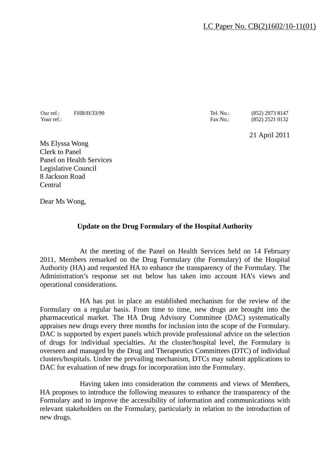Our ref.: FHB/H/33/99 Tel. No.: (852) 2973 8147

Your ref.: (852) 2521 0132

21 April 2011

Ms Elyssa Wong Clerk to Panel Panel on Health Services Legislative Council 8 Jackson Road Central

Dear Ms Wong,

# **Update on the Drug Formulary of the Hospital Authority**

At the meeting of the Panel on Health Services held on 14 February 2011, Members remarked on the Drug Formulary (the Formulary) of the Hospital Authority (HA) and requested HA to enhance the transparency of the Formulary. The Administration's response set out below has taken into account HA's views and operational considerations.

HA has put in place an established mechanism for the review of the Formulary on a regular basis. From time to time, new drugs are brought into the pharmaceutical market. The HA Drug Advisory Committee (DAC) systematically appraises new drugs every three months for inclusion into the scope of the Formulary. DAC is supported by expert panels which provide professional advice on the selection of drugs for individual specialties. At the cluster/hospital level, the Formulary is overseen and managed by the Drug and Therapeutics Committees (DTC) of individual clusters/hospitals. Under the prevailing mechanism, DTCs may submit applications to DAC for evaluation of new drugs for incorporation into the Formulary.

Having taken into consideration the comments and views of Members, HA proposes to introduce the following measures to enhance the transparency of the Formulary and to improve the accessibility of information and communications with relevant stakeholders on the Formulary, particularly in relation to the introduction of new drugs.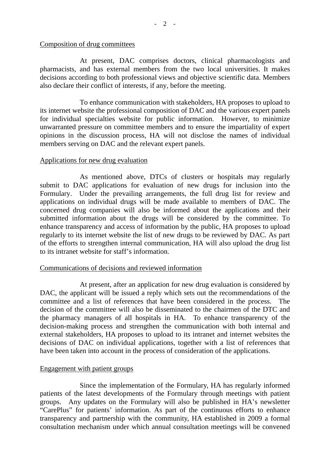#### Composition of drug committees

At present, DAC comprises doctors, clinical pharmacologists and pharmacists, and has external members from the two local universities. It makes decisions according to both professional views and objective scientific data. Members also declare their conflict of interests, if any, before the meeting.

To enhance communication with stakeholders, HA proposes to upload to its internet website the professional composition of DAC and the various expert panels for individual specialties website for public information. However, to minimize unwarranted pressure on committee members and to ensure the impartiality of expert opinions in the discussion process, HA will not disclose the names of individual members serving on DAC and the relevant expert panels.

### Applications for new drug evaluation

As mentioned above, DTCs of clusters or hospitals may regularly submit to DAC applications for evaluation of new drugs for inclusion into the Formulary. Under the prevailing arrangements, the full drug list for review and applications on individual drugs will be made available to members of DAC. The concerned drug companies will also be informed about the applications and their submitted information about the drugs will be considered by the committee. To enhance transparency and access of information by the public, HA proposes to upload regularly to its internet website the list of new drugs to be reviewed by DAC. As part of the efforts to strengthen internal communication, HA will also upload the drug list to its intranet website for staff's information.

#### Communications of decisions and reviewed information

At present, after an application for new drug evaluation is considered by DAC, the applicant will be issued a reply which sets out the recommendations of the committee and a list of references that have been considered in the process. The decision of the committee will also be disseminated to the chairmen of the DTC and the pharmacy managers of all hospitals in HA. To enhance transparency of the decision-making process and strengthen the communication with both internal and external stakeholders, HA proposes to upload to its intranet and internet websites the decisions of DAC on individual applications, together with a list of references that have been taken into account in the process of consideration of the applications.

# Engagement with patient groups

Since the implementation of the Formulary, HA has regularly informed patients of the latest developments of the Formulary through meetings with patient groups. Any updates on the Formulary will also be published in HA's newsletter "CarePlus" for patients' information. As part of the continuous efforts to enhance transparency and partnership with the community, HA established in 2009 a formal consultation mechanism under which annual consultation meetings will be convened